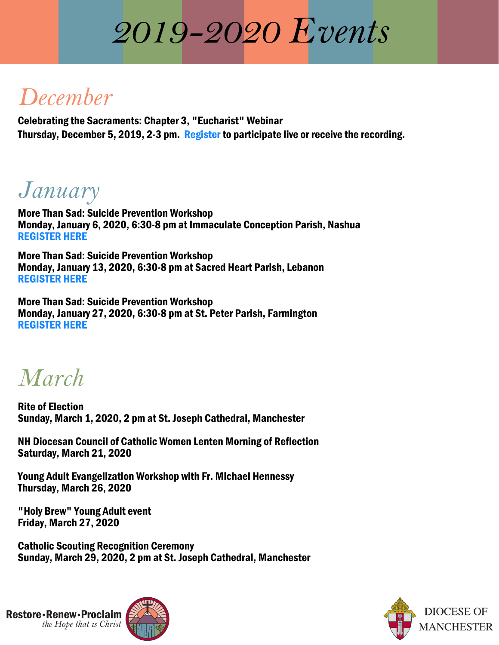## *2019-2020 Events*

## *December*

Celebrating the [Sacraments:](https://attendee.gotowebinar.com/register/5759898716240501517) Chapter 3, "Eucharist" Webinar Thursday, December 5, 2019, 2-3 pm. Register to participate live or receive the recording.

## *January*

More Than Sad: Suicide Prevention Workshop Monday, January 6, 2020, 6:30-8 pm at [Immaculate](https://suicideawareness2020.eventbrite.com/) Conception Parish, Nashua REGISTER HERE

More Than Sad: Suicide [Prevention](https://suicideawareness-lebanon.eventbrite.com/) Workshop Monday, January 13, 2020, 6:30-8 pm at Sacred Heart Parish, Lebanon REGISTER HERE

More Than Sad: Suicide Prevention Workshop Monday, January 27, 2020, 6:30-8 pm at St. Peter Parish, [Farmington](https://2020suicideawareness.eventbrite.com/) REGISTER HERE

*March*

Rite of Election Sunday, March 1, 2020, 2 pm at St. Joseph Cathedral, Manchester

NH Diocesan Council of Catholic Women Lenten Morning of Reflection Saturday, March 21, 2020

Young Adult Evangelization Workshop with Fr. Michael Hennessy Thursday, March 26, 2020

"Holy Brew" Young Adult event Friday, March 27, 2020

Catholic Scouting Recognition Ceremony Sunday, March 29, 2020, 2 pm at St. Joseph Cathedral, Manchester